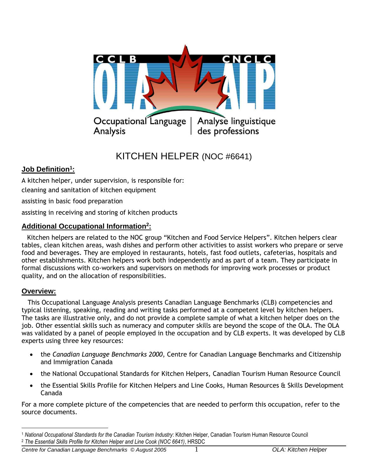

# KITCHEN HELPER (NOC #6641)

## **Job Definition<sup>1</sup> :**

A kitchen helper, under supervision, is responsible for:

cleaning and sanitation of kitchen equipment

assisting in basic food preparation

assisting in receiving and storing of kitchen products

## **Additional Occupational Information<sup>2</sup> :**

 Kitchen helpers are related to the NOC group "Kitchen and Food Service Helpers". Kitchen helpers clear tables, clean kitchen areas, wash dishes and perform other activities to assist workers who prepare or serve food and beverages. They are employed in restaurants, hotels, fast food outlets, cafeterias, hospitals and other establishments. Kitchen helpers work both independently and as part of a team. They participate in formal discussions with co-workers and supervisors on methods for improving work processes or product quality, and on the allocation of responsibilities.

## **Overview:**

 This Occupational Language Analysis presents Canadian Language Benchmarks (CLB) competencies and typical listening, speaking, reading and writing tasks performed at a competent level by kitchen helpers. The tasks are illustrative only, and do not provide a complete sample of what a kitchen helper does on the job. Other essential skills such as numeracy and computer skills are beyond the scope of the OLA. The OLA was validated by a panel of people employed in the occupation and by CLB experts. It was developed by CLB experts using three key resources:

- the *Canadian Language Benchmarks 2000*, Centre for Canadian Language Benchmarks and Citizenship and Immigration Canada
- the National Occupational Standards for Kitchen Helpers, Canadian Tourism Human Resource Council
- the Essential Skills Profile for Kitchen Helpers and Line Cooks, Human Resources & Skills Development Canada

For a more complete picture of the competencies that are needed to perform this occupation, refer to the source documents.

 $\overline{a}$ <sup>1</sup> *National Occupational Standards for the Canadian Tourism Industry*: Kitchen Helper, Canadian Tourism Human Resource Council <sup>2</sup> *The Essential Skills Profile for Kitchen Helper and Line Cook (NOC 6641)*, HRSDC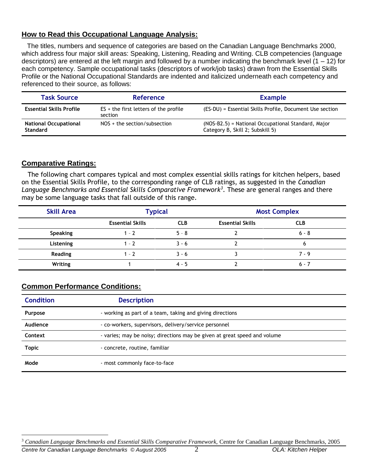## **How to Read this Occupational Language Analysis:**

 The titles, numbers and sequence of categories are based on the Canadian Language Benchmarks 2000, which address four major skill areas: Speaking, Listening, Reading and Writing. CLB competencies (language descriptors) are entered at the left margin and followed by a number indicating the benchmark level (1 – 12) for each competency. Sample occupational tasks (descriptors of work/job tasks) drawn from the Essential Skills Profile or the National Occupational Standards are indented and italicized underneath each competency and referenced to their source, as follows:

| <b>Task Source</b>                              | <b>Reference</b>                                   | <b>Example</b>                                                                         |
|-------------------------------------------------|----------------------------------------------------|----------------------------------------------------------------------------------------|
| <b>Essential Skills Profile</b>                 | $ES +$ the first letters of the profile<br>section | (ES-DU) = Essential Skills Profile, Document Use section                               |
| <b>National Occupational</b><br><b>Standard</b> | $NOS +$ the section/subsection                     | (NOS-B2.5) = National Occupational Standard, Major<br>Category B, Skill 2; Subskill 5) |

#### **Comparative Ratings:**

 The following chart compares typical and most complex essential skills ratings for kitchen helpers, based on the Essential Skills Profile, to the corresponding range of CLB ratings, as suggested in the *Canadian Language Benchmarks and Essential Skills Comparative Framework<sup>3</sup>* . These are general ranges and there may be some language tasks that fall outside of this range.

| <b>Skill Area</b> | <b>Typical</b>          |            | <b>Most Complex</b>     |            |  |
|-------------------|-------------------------|------------|-------------------------|------------|--|
|                   | <b>Essential Skills</b> | <b>CLB</b> | <b>Essential Skills</b> | <b>CLB</b> |  |
| Speaking          | $1 - 2$                 | $5 - 8$    |                         | $6 - 8$    |  |
| Listening         | $1 - 7$                 | $3 - 6$    |                         |            |  |
| Reading           | $1 - 7$                 | $3 - 6$    |                         | $7 - 9$    |  |
| Writing           |                         | $4 - 5$    |                         | $6 - 7$    |  |

## **Common Performance Conditions:**

| <b>Condition</b> | <b>Description</b>                                                        |  |
|------------------|---------------------------------------------------------------------------|--|
| <b>Purpose</b>   | - working as part of a team, taking and giving directions                 |  |
| Audience         | - co-workers, supervisors, delivery/service personnel                     |  |
| Context          | - varies; may be noisy; directions may be given at great speed and volume |  |
| <b>Topic</b>     | - concrete, routine, familiar                                             |  |
| Mode             | - most commonly face-to-face                                              |  |

*Centre for Canadian Language Benchmarks © August 2005* 2 *OLA: Kitchen Helper* 

 $\overline{a}$ 

<sup>3</sup> *Canadian Language Benchmarks and Essential Skills Comparative Framework,* Centre for Canadian Language Benchmarks, 2005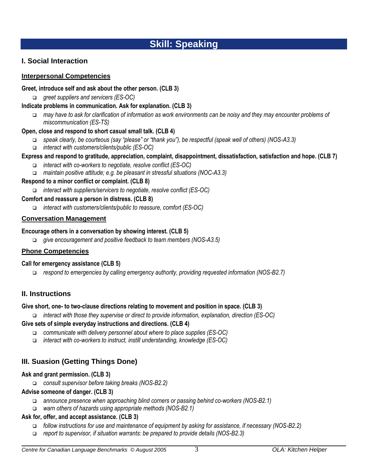# **Skill: Speaking**

## **I. Social Interaction**

#### **Interpersonal Competencies**

#### **Greet, introduce self and ask about the other person. (CLB 3)**

*greet suppliers and servicers (ES-OC)* 

#### **Indicate problems in communication. Ask for explanation. (CLB 3)**

 *may have to ask for clarification of information as work environments can be noisy and they may encounter problems of miscommunication (ES-TS)*

#### **Open, close and respond to short casual small talk. (CLB 4)**

- *speak clearly, be courteous (say "please" or "thank you"), be respectful (speak well of others) (NOS-A3.3)*
- *interact with customers/clients/public (ES-OC)*

## **Express and respond to gratitude, appreciation, complaint, disappointment, dissatisfaction, satisfaction and hope. (CLB 7)**

- *interact with co-workers to negotiate, resolve conflict (ES-OC)*
- *maintain positive attitude; e.g. be pleasant in stressful situations (NOC-A3.3)*

#### **Respond to a minor conflict or complaint. (CLB 8)**

*interact with suppliers/servicers to negotiate, resolve conflict (ES-OC)*

#### **Comfort and reassure a person in distress. (CLB 8)**

*interact with customers/clients/public to reassure, comfort (ES-OC)*

#### **Conversation Management**

#### **Encourage others in a conversation by showing interest. (CLB 5)**

*give encouragement and positive feedback to team members (NOS-A3.5)*

#### **Phone Competencies**

#### **Call for emergency assistance (CLB 5)**

*respond to emergencies by calling emergency authority, providing requested information (NOS-B2.7)*

## **II. Instructions**

#### **Give short, one- to two-clause directions relating to movement and position in space. (CLB 3)**

*interact with those they supervise or direct to provide information, explanation, direction (ES-OC)*

#### **Give sets of simple everyday instructions and directions. (CLB 4)**

- *communicate with delivery personnel about where to place supplies (ES-OC)*
- *interact with co-workers to instruct, instill understanding, knowledge (ES-OC)*

## **III. Suasion (Getting Things Done)**

#### **Ask and grant permission. (CLB 3)**

*consult supervisor before taking breaks (NOS-B2.2)*

#### **Advise someone of danger. (CLB 3)**

- *announce presence when approaching blind corners or passing behind co-workers (NOS-B2.1)*
- *warn others of hazards using appropriate methods (NOS-B2.1)*

#### **Ask for, offer, and accept assistance. (CLB 3)**

- *follow instructions for use and maintenance of equipment by asking for assistance, if necessary (NOS-B2.2)*
- *report to supervisor, if situation warrants: be prepared to provide details (NOS-B2.3)*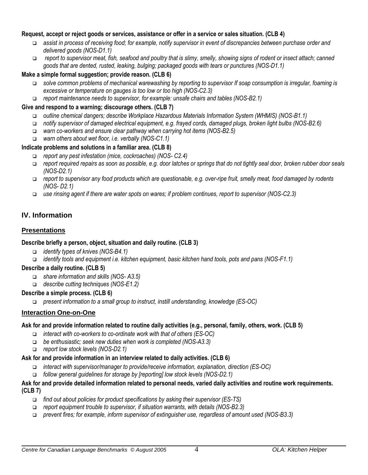#### **Request, accept or reject goods or services, assistance or offer in a service or sales situation. (CLB 4)**

- *assist in process of receiving food; for example, notify supervisor in event of discrepancies between purchase order and delivered goods (NOS-D1.1)*
- *report to supervisor meat, fish, seafood and poultry that is slimy, smelly, showing signs of rodent or insect attach; canned goods that are dented, rusted, leaking, bulging; packaged goods with tears or punctures (NOS-D1.1)*

#### **Make a simple formal suggestion; provide reason. (CLB 6)**

- *solve common problems of mechanical warewashing by reporting to supervisor If soap consumption is irregular, foaming is excessive or temperature on gauges is too low or too high (NOS-C2.3)*
- *report maintenance needs to supervisor, for example: unsafe chairs and tables (NOS-B2.1)*

#### **Give and respond to a warning; discourage others. (CLB 7)**

- *outline chemical dangers; describe Workplace Hazardous Materials Information System (WHMIS) (NOS-B1.1)*
- *notify supervisor of damaged electrical equipment, e.g. frayed cords, damaged plugs, broken light bulbs (NOS-B2.6)*
- *warn co-workers and ensure clear pathway when carrying hot items (NOS-B2.5)*
- *warn others about wet floor, i.e. verbally (NOS-C1.1)*

#### **Indicate problems and solutions in a familiar area. (CLB 8)**

- *report any pest infestation (mice, cockroaches) (NOS- C2.4)*
- *report required repairs as soon as possible, e.g. door latches or springs that do not tightly seal door, broken rubber door seals (NOS-D2.1)*
- *report to supervisor any food products which are questionable, e.g. over-ripe fruit, smelly meat, food damaged by rodents (NOS- D2.1)*
- *use rinsing agent if there are water spots on wares; if problem continues, report to supervisor (NOS-C2.3)*

## **IV. Information**

#### **Presentations**

#### **Describe briefly a person, object, situation and daily routine. (CLB 3)**

- *identify types of knives (NOS-B4.1)*
- *identify tools and equipment i.e. kitchen equipment, basic kitchen hand tools, pots and pans (NOS-F1.1)*

#### **Describe a daily routine. (CLB 5)**

- *share information and skills (NOS- A3.5)*
- *describe cutting techniques (NOS-E1.2)*

#### **Describe a simple process. (CLB 6)**

*present information to a small group to instruct, instill understanding, knowledge (ES-OC)*

#### **Interaction One-on-One**

#### **Ask for and provide information related to routine daily activities (e.g., personal, family, others, work. (CLB 5)**

- *interact with co-workers to co-ordinate work with that of others (ES-OC)*
- *be enthusiastic; seek new duties when work is completed (NOS-A3.3)*
- *report low stock levels (NOS-D2.1)*

#### **Ask for and provide information in an interview related to daily activities. (CLB 6)**

- *interact with supervisor/manager to provide/receive information, explanation, direction (ES-OC)*
- *follow general guidelines for storage by [reporting] low stock levels (NOS-D2.1)*

#### **Ask for and provide detailed information related to personal needs, varied daily activities and routine work requirements. (CLB 7)**

- *find out about policies for product specifications by asking their supervisor (ES-TS)*
- *report equipment trouble to supervisor, if situation warrants, with details (NOS-B2.3)*
- *prevent fires; for example, inform supervisor of extinguisher use, regardless of amount used (NOS-B3.3)*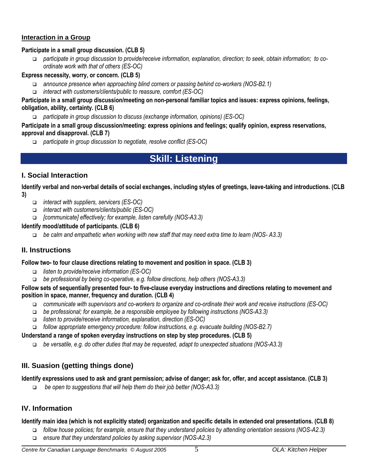#### **Interaction in a Group**

#### **Participate in a small group discussion. (CLB 5)**

 *participate in group discussion to provide/receive information, explanation, direction; to seek, obtain information; to coordinate work with that of others (ES-OC)*

#### **Express necessity, worry, or concern. (CLB 5)**

- *announce presence when approaching blind corners or passing behind co-workers (NOS-B2.1)*
- *interact with customers/clients/public to reassure, comfort (ES-OC)*

#### **Participate in a small group discussion/meeting on non-personal familiar topics and issues: express opinions, feelings, obligation, ability, certainty. (CLB 6)**

*participate in group discussion to discuss (exchange information, opinions) (ES-OC)*

#### **Participate in a small group discussion/meeting: express opinions and feelings; qualify opinion, express reservations, approval and disapproval. (CLB 7)**

*participate in group discussion to negotiate, resolve conflict (ES-OC)*

# **Skill: Listening**

## **I. Social Interaction**

**Identify verbal and non-verbal details of social exchanges, including styles of greetings, leave-taking and introductions. (CLB 3)**

- *interact with suppliers, servicers (ES-OC)*
- *interact with customers/clients/public (ES-OC)*
- *[communicate] effectively; for example, listen carefully (NOS-A3.3)*

#### **Identify mood/attitude of participants. (CLB 6)**

*be calm and empathetic when working with new staff that may need extra time to learn (NOS- A3.3)*

## **II. Instructions**

#### **Follow two- to four clause directions relating to movement and position in space. (CLB 3)**

- *listen to provide/receive information (ES-OC)*
- *be professional by being co-operative, e.g. follow directions, help others (NOS-A3.3)*

#### **Follow sets of sequentially presented four- to five-clause everyday instructions and directions relating to movement and position in space, manner, frequency and duration. (CLB 4)**

- *communicate with supervisors and co-workers to organize and co-ordinate their work and receive instructions (ES-OC)*
- *be professional; for example, be a responsible employee by following instructions (NOS-A3.3)*
- *listen to provide/receive information, explanation, direction (ES-OC)*
- *follow appropriate emergency procedure: follow instructions, e.g. evacuate building (NOS-B2.7)*

#### **Understand a range of spoken everyday instructions on step by step procedures. (CLB 5)**

*be versatile, e.g. do other duties that may be requested, adapt to unexpected situations (NOS-A3.3)*

## **III. Suasion (getting things done)**

#### **Identify expressions used to ask and grant permission; advise of danger; ask for, offer, and accept assistance. (CLB 3)**

*be open to suggestions that will help them do their job better (NOS-A3.3)*

### **IV. Information**

#### **Identify main idea (which is not explicitly stated) organization and specific details in extended oral presentations. (CLB 8)**

- *follow house policies; for example, ensure that they understand policies by attending orientation sessions (NOS-A2.3)*
- *ensure that they understand policies by asking supervisor (NOS-A2.3)*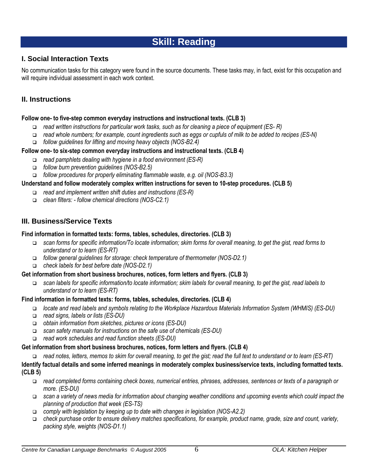# **Skill: Reading**

## **I. Social Interaction Texts**

No communication tasks for this category were found in the source documents. These tasks may, in fact, exist for this occupation and will require individual assessment in each work context.

## **II. Instructions**

#### **Follow one- to five-step common everyday instructions and instructional texts. (CLB 3)**

- *read written instructions for particular work tasks, such as for cleaning a piece of equipment (ES- R)*
- *read whole numbers; for example, count ingredients such as eggs or cupfuls of milk to be added to recipes (ES-N)*
- *follow guidelines for lifting and moving heavy objects (NOS-B2.4)*

#### **Follow one- to six-step common everyday instructions and instructional texts. (CLB 4)**

- *read pamphlets dealing with hygiene in a food environment (ES-R)*
- *follow burn prevention guidelines (NOS-B2.5)*
- *follow procedures for properly eliminating flammable waste, e.g. oil (NOS-B3.3)*

#### **Understand and follow moderately complex written instructions for seven to 10-step procedures. (CLB 5)**

- *read and implement written shift duties and instructions (ES-R)*
- *clean filters: - follow chemical directions (NOS-C2.1)*

## **III. Business/Service Texts**

#### **Find information in formatted texts: forms, tables, schedules, directories. (CLB 3)**

- *scan forms for specific information/To locate information; skim forms for overall meaning, to get the gist, read forms to understand or to learn (ES-RT)*
- *follow general guidelines for storage: check temperature of thermometer (NOS-D2.1)*
- *check labels for best before date (NOS-D2.1)*

#### **Get information from short business brochures, notices, form letters and flyers. (CLB 3)**

 *scan labels for specific information/to locate information; skim labels for overall meaning, to get the gist, read labels to understand or to learn (ES-RT)*

#### **Find information in formatted texts: forms, tables, schedules, directories. (CLB 4)**

- *locate and read labels and symbols relating to the Workplace Hazardous Materials Information System (WHMIS) (ES-DU)*
- *read signs, labels or lists (ES-DU)*
- *obtain information from sketches, pictures or icons (ES-DU)*
- *scan safety manuals for instructions on the safe use of chemicals (ES-DU)*
- *read work schedules and read function sheets (ES-DU)*

#### **Get information from short business brochures, notices, form letters and flyers. (CLB 4)**

*read notes, letters, memos to skim for overall meaning, to get the gist; read the full text to understand or to learn (ES-RT)*

#### **Identify factual details and some inferred meanings in moderately complex business/service texts, including formatted texts. (CLB 5)**

- *read completed forms containing check boxes, numerical entries, phrases, addresses, sentences or texts of a paragraph or more. (ES-DU)*
- *scan a variety of news media for information about changing weather conditions and upcoming events which could impact the planning of production that week (ES-TS)*
- *comply with legislation by keeping up to date with changes in legislation (NOS-A2.2)*
- *check purchase order to ensure delivery matches specifications, for example, product name, grade, size and count, variety, packing style, weights (NOS-D1.1)*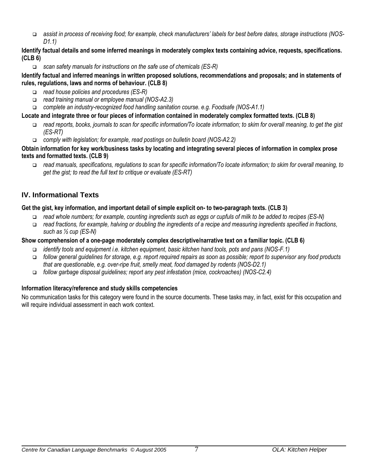*assist in process of receiving food; for example, check manufacturers' labels for best before dates, storage instructions (NOS-D1.1)*

#### **Identify factual details and some inferred meanings in moderately complex texts containing advice, requests, specifications. (CLB 6)**

*scan safety manuals for instructions on the safe use of chemicals (ES-R)*

#### **Identify factual and inferred meanings in written proposed solutions, recommendations and proposals; and in statements of rules, regulations, laws and norms of behaviour. (CLB 8)**

- *read house policies and procedures (ES-R)*
- *read training manual or employee manual (NOS-A2.3)*
- *complete an industry-recognized food handling sanitation course. e.g. Foodsafe (NOS-A1.1)*

### **Locate and integrate three or four pieces of information contained in moderately complex formatted texts. (CLB 8)**

- *read reports, books, journals to scan for specific information/To locate information; to skim for overall meaning, to get the gist (ES-RT)*
- *comply with legislation; for example, read postings on bulletin board (NOS-A2.2)*

#### **Obtain information for key work/business tasks by locating and integrating several pieces of information in complex prose texts and formatted texts. (CLB 9)**

 *read manuals, specifications, regulations to scan for specific information/To locate information; to skim for overall meaning, to get the gist; to read the full text to critique or evaluate (ES-RT)*

## **IV. Informational Texts**

#### **Get the gist, key information, and important detail of simple explicit on- to two-paragraph texts. (CLB 3)**

- *read whole numbers; for example, counting ingredients such as eggs or cupfuls of milk to be added to recipes (ES-N)*
- *read fractions, for example, halving or doubling the ingredients of a recipe and measuring ingredients specified in fractions, such as ½ cup (ES-N)*

### **Show comprehension of a one-page moderately complex descriptive/narrative text on a familiar topic. (CLB 6)**

- *identify tools and equipment i.e. kitchen equipment, basic kitchen hand tools, pots and pans (NOS-F.1)*
- *follow general guidelines for storage, e.g. report required repairs as soon as possible; report to supervisor any food products that are questionable, e.g. over-ripe fruit, smelly meat, food damaged by rodents (NOS-D2.1)*
- *follow garbage disposal guidelines; report any pest infestation (mice, cockroaches) (NOS-C2.4)*

## **Information literacy/reference and study skills competencies**

No communication tasks for this category were found in the source documents. These tasks may, in fact, exist for this occupation and will require individual assessment in each work context.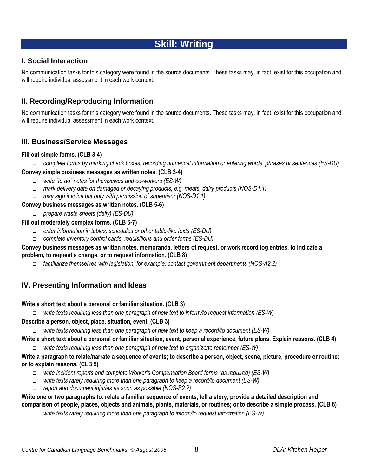# **Skill: Writing**

## **I. Social Interaction**

No communication tasks for this category were found in the source documents. These tasks may, in fact, exist for this occupation and will require individual assessment in each work context.

## **II. Recording/Reproducing Information**

No communication tasks for this category were found in the source documents. These tasks may, in fact, exist for this occupation and will require individual assessment in each work context.

## **III. Business/Service Messages**

#### **Fill out simple forms. (CLB 3-4)**

*complete forms by marking check boxes, recording numerical information or entering words, phrases or sentences (ES-DU)*

#### **Convey simple business messages as written notes. (CLB 3-4)**

- *write "to do" notes for themselves and co-workers (ES-W)*
- *mark delivery date on damaged or decaying products, e.g. meats, dairy products (NOS-D1.1)*
- *may sign invoice but only with permission of supervisor (NOS-D1.1)*

#### **Convey business messages as written notes. (CLB 5-6)**

*prepare waste sheets (daily) (ES-DU)*

#### **Fill out moderately complex forms. (CLB 6-7)**

- *enter information in tables, schedules or other table-like texts (ES-DU)*
- *complete inventory control cards, requisitions and order forms (ES-DU)*

#### **Convey business messages as written notes, memoranda, letters of request, or work record log entries, to indicate a problem, to request a change, or to request information. (CLB 8)**

*familiarize themselves with legislation, for example: contact government departments (NOS-A2.2)*

## **IV. Presenting Information and Ideas**

#### **Write a short text about a personal or familiar situation. (CLB 3)**

*write texts requiring less than one paragraph of new text to inform/to request information (ES-W)*

#### **Describe a person, object, place, situation, event. (CLB 3)**

*write texts requiring less than one paragraph of new text to keep a record/to document (ES-W)*

## **Write a short text about a personal or familiar situation, event, personal experience, future plans. Explain reasons. (CLB 4)**

*write texts requiring less than one paragraph of new text to organize/to remember (ES-W)*

#### **Write a paragraph to relate/narrate a sequence of events; to describe a person, object, scene, picture, procedure or routine; or to explain reasons. (CLB 5)**

- *write incident reports and complete Worker's Compensation Board forms (as required) (ES-W)*
- *write texts rarely requiring more than one paragraph to keep a record/to document (ES-W)*
- *report and document injuries as soon as possible (NOS-B2.2)*

#### **Write one or two paragraphs to: relate a familiar sequence of events, tell a story; provide a detailed description and comparison of people, places, objects and animals, plants, materials, or routines; or to describe a simple process. (CLB 6)**

*write texts rarely requiring more than one paragraph to inform/to request information (ES-W)*